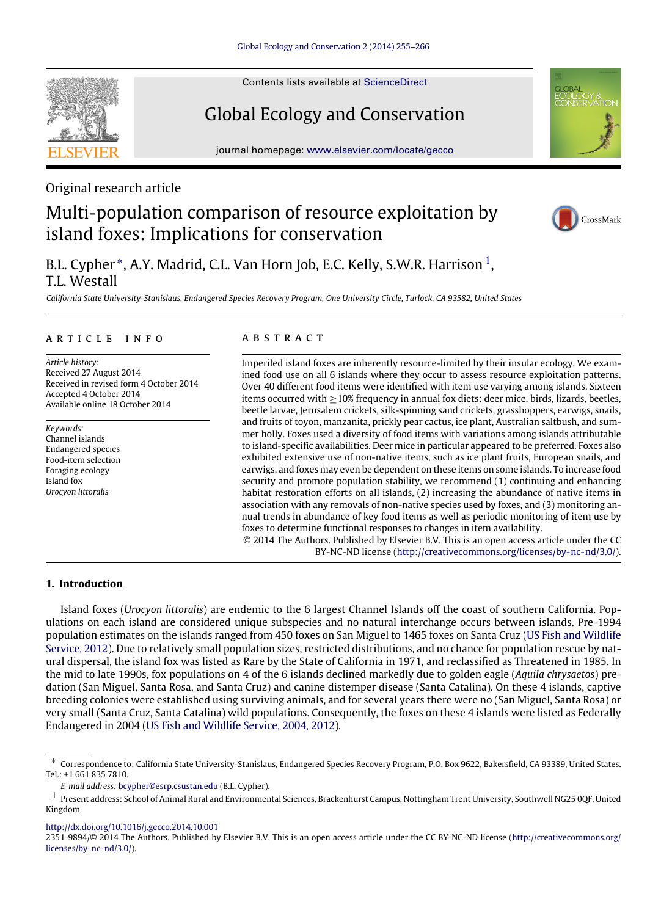Contents lists available at [ScienceDirect](http://www.elsevier.com/locate/gecco)

# Global Ecology and Conservation

journal homepage: [www.elsevier.com/locate/gecco](http://www.elsevier.com/locate/gecco)

Original research article

# Multi-population comparison of resource exploitation by island foxes: Implications for conservation

B.L. Cypher \*, A.Y. Madrid, C.L. Van Horn Job, E.C. Kelly, S.W.R. Harrison <sup>[1](#page-0-1)</sup>, T.L. Westall

*California State University-Stanislaus, Endangered Species Recovery Program, One University Circle, Turlock, CA 93582, United States*

# a r t i c l e i n f o

*Article history:* Received 27 August 2014 Received in revised form 4 October 2014 Accepted 4 October 2014 Available online 18 October 2014

*Keywords:* Channel islands Endangered species Food-item selection Foraging ecology Island fox *Urocyon littoralis*

# a b s t r a c t

Imperiled island foxes are inherently resource-limited by their insular ecology. We examined food use on all 6 islands where they occur to assess resource exploitation patterns. Over 40 different food items were identified with item use varying among islands. Sixteen items occurred with ≥10% frequency in annual fox diets: deer mice, birds, lizards, beetles, beetle larvae, Jerusalem crickets, silk-spinning sand crickets, grasshoppers, earwigs, snails, and fruits of toyon, manzanita, prickly pear cactus, ice plant, Australian saltbush, and summer holly. Foxes used a diversity of food items with variations among islands attributable to island-specific availabilities. Deer mice in particular appeared to be preferred. Foxes also exhibited extensive use of non-native items, such as ice plant fruits, European snails, and earwigs, and foxes may even be dependent on these items on some islands. To increase food security and promote population stability, we recommend (1) continuing and enhancing habitat restoration efforts on all islands, (2) increasing the abundance of native items in association with any removals of non-native species used by foxes, and (3) monitoring annual trends in abundance of key food items as well as periodic monitoring of item use by foxes to determine functional responses to changes in item availability. © 2014 The Authors. Published by Elsevier B.V. This is an open access article under the CC

BY-NC-ND license [\(http://creativecommons.org/licenses/by-nc-nd/3.0/\)](http://creativecommons.org/licenses/by-nc-nd/3.0/).

# **1. Introduction**

Island foxes (*Urocyon littoralis*) are endemic to the 6 largest Channel Islands off the coast of southern California. Populations on each island are considered unique subspecies and no natural interchange occurs between islands. Pre-1994 population estimates on the islands ranged from 450 foxes on San Miguel to 1465 foxes on Santa Cruz [\(US](#page-11-0) [Fish](#page-11-0) [and](#page-11-0) [Wildlife](#page-11-0) [Service,](#page-11-0) [2012\)](#page-11-0). Due to relatively small population sizes, restricted distributions, and no chance for population rescue by natural dispersal, the island fox was listed as Rare by the State of California in 1971, and reclassified as Threatened in 1985. In the mid to late 1990s, fox populations on 4 of the 6 islands declined markedly due to golden eagle (*Aquila chrysaetos*) predation (San Miguel, Santa Rosa, and Santa Cruz) and canine distemper disease (Santa Catalina). On these 4 islands, captive breeding colonies were established using surviving animals, and for several years there were no (San Miguel, Santa Rosa) or very small (Santa Cruz, Santa Catalina) wild populations. Consequently, the foxes on these 4 islands were listed as Federally Endangered in 2004 [\(US](#page-11-1) [Fish](#page-11-1) [and](#page-11-1) [Wildlife](#page-11-1) [Service,](#page-11-1) [2004,](#page-11-1) [2012\)](#page-11-0).

<http://dx.doi.org/10.1016/j.gecco.2014.10.001>







<span id="page-0-0"></span><sup>∗</sup> Correspondence to: California State University-Stanislaus, Endangered Species Recovery Program, P.O. Box 9622, Bakersfield, CA 93389, United States. Tel.: +1 661 835 7810.

<span id="page-0-1"></span>*E-mail address:* [bcypher@esrp.csustan.edu](mailto:bcypher@esrp.csustan.edu) (B.L. Cypher).

<sup>1</sup> Present address: School of Animal Rural and Environmental Sciences, Brackenhurst Campus, Nottingham Trent University, Southwell NG25 0QF, United Kingdom.

<sup>2351-9894/</sup>© 2014 The Authors. Published by Elsevier B.V. This is an open access article under the CC BY-NC-ND license [\(http://creativecommons.org/](http://creativecommons.org/licenses/by-nc-nd/3.0/) [licenses/by-nc-nd/3.0/\)](http://creativecommons.org/licenses/by-nc-nd/3.0/).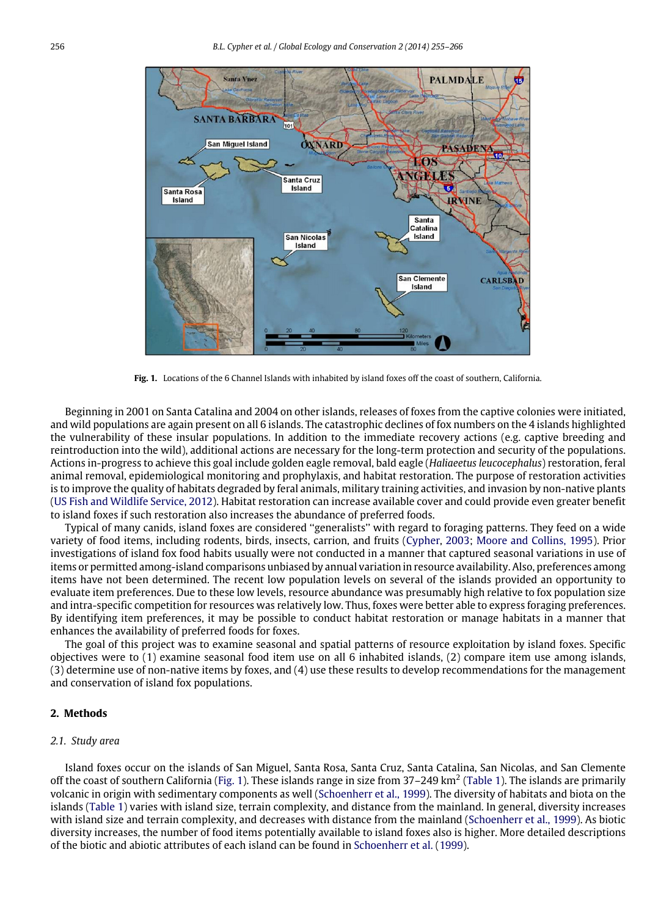<span id="page-1-0"></span>

**Fig. 1.** Locations of the 6 Channel Islands with inhabited by island foxes off the coast of southern, California.

Beginning in 2001 on Santa Catalina and 2004 on other islands, releases of foxes from the captive colonies were initiated, and wild populations are again present on all 6 islands. The catastrophic declines of fox numbers on the 4 islands highlighted the vulnerability of these insular populations. In addition to the immediate recovery actions (e.g. captive breeding and reintroduction into the wild), additional actions are necessary for the long-term protection and security of the populations. Actions in-progress to achieve this goal include golden eagle removal, bald eagle (*Haliaeetus leucocephalus*) restoration, feral animal removal, epidemiological monitoring and prophylaxis, and habitat restoration. The purpose of restoration activities is to improve the quality of habitats degraded by feral animals, military training activities, and invasion by non-native plants [\(US](#page-11-0) [Fish](#page-11-0) [and](#page-11-0) [Wildlife](#page-11-0) [Service,](#page-11-0) [2012\)](#page-11-0). Habitat restoration can increase available cover and could provide even greater benefit to island foxes if such restoration also increases the abundance of preferred foods.

Typical of many canids, island foxes are considered ''generalists'' with regard to foraging patterns. They feed on a wide variety of food items, including rodents, birds, insects, carrion, and fruits [\(Cypher,](#page-11-2) [2003;](#page-11-2) [Moore](#page-11-3) [and](#page-11-3) [Collins,](#page-11-3) [1995\)](#page-11-3). Prior investigations of island fox food habits usually were not conducted in a manner that captured seasonal variations in use of items or permitted among-island comparisons unbiased by annual variation in resource availability. Also, preferences among items have not been determined. The recent low population levels on several of the islands provided an opportunity to evaluate item preferences. Due to these low levels, resource abundance was presumably high relative to fox population size and intra-specific competition for resources was relatively low. Thus, foxes were better able to express foraging preferences. By identifying item preferences, it may be possible to conduct habitat restoration or manage habitats in a manner that enhances the availability of preferred foods for foxes.

The goal of this project was to examine seasonal and spatial patterns of resource exploitation by island foxes. Specific objectives were to (1) examine seasonal food item use on all 6 inhabited islands, (2) compare item use among islands, (3) determine use of non-native items by foxes, and (4) use these results to develop recommendations for the management and conservation of island fox populations.

# **2. Methods**

### *2.1. Study area*

Island foxes occur on the islands of San Miguel, Santa Rosa, Santa Cruz, Santa Catalina, San Nicolas, and San Clemente off the coast of southern California [\(Fig. 1\)](#page-1-0). These islands range in size from 37-249 km<sup>2</sup> [\(Table 1\)](#page-2-0). The islands are primarily volcanic in origin with sedimentary components as well [\(Schoenherr](#page-11-4) [et al.,](#page-11-4) [1999\)](#page-11-4). The diversity of habitats and biota on the islands [\(Table 1\)](#page-2-0) varies with island size, terrain complexity, and distance from the mainland. In general, diversity increases with island size and terrain complexity, and decreases with distance from the mainland [\(Schoenherr](#page-11-4) [et al.,](#page-11-4) [1999\)](#page-11-4). As biotic diversity increases, the number of food items potentially available to island foxes also is higher. More detailed descriptions of the biotic and abiotic attributes of each island can be found in [Schoenherr](#page-11-4) [et al.](#page-11-4) [\(1999\)](#page-11-4).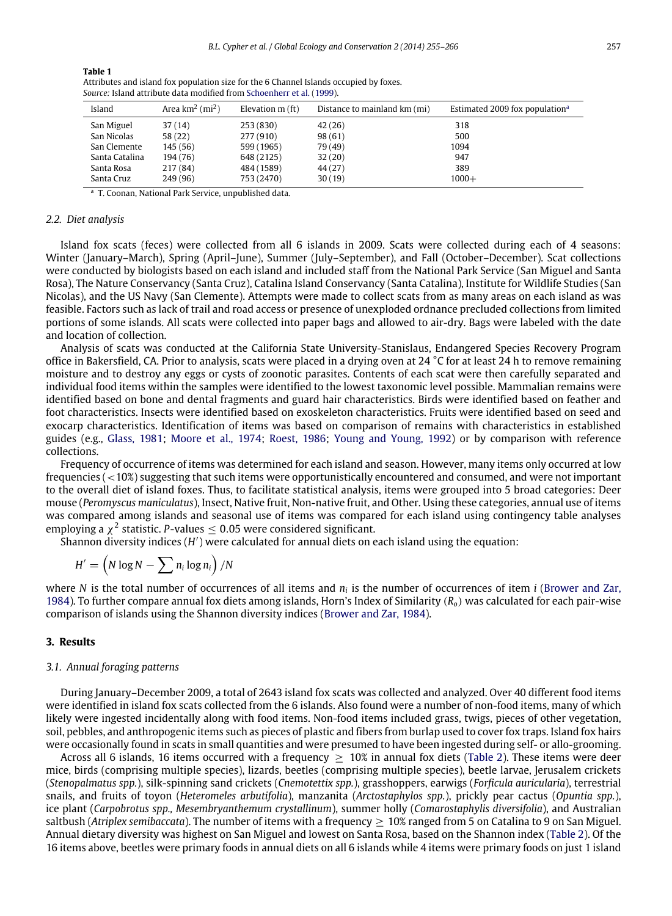| Area $km^2$ (mi <sup>2</sup> )<br>Island |          | Elevation $m$ (ft) | Distance to mainland km (mi) | Estimated 2009 fox population <sup>a</sup> |  |  |  |  |
|------------------------------------------|----------|--------------------|------------------------------|--------------------------------------------|--|--|--|--|
| San Miguel                               | 37(14)   | 253(830)           | 42(26)                       | 318                                        |  |  |  |  |
| San Nicolas                              | 58 (22)  | 277 (910)          | 98(61)                       | 500                                        |  |  |  |  |
| San Clemente                             | 145 (56) | 599 (1965)         | 79 (49)                      | 1094                                       |  |  |  |  |
| Santa Catalina                           | 194 (76) | 648 (2125)         | 32(20)                       | 947                                        |  |  |  |  |
| Santa Rosa                               | 217 (84) | 484 (1589)         | 44 (27)                      | 389                                        |  |  |  |  |
| Santa Cruz                               | 249 (96) | 753 (2470)         | 30(19)                       | $1000+$                                    |  |  |  |  |
|                                          |          |                    |                              |                                            |  |  |  |  |

| Attributes and island fox population size for the 6 Channel Islands occupied by foxes. |
|----------------------------------------------------------------------------------------|
| Source: Island attribute data modified from Schoenherr et al. (1999).                  |

<span id="page-2-1"></span><sup>a</sup> T. Coonan, National Park Service, unpublished data.

### *2.2. Diet analysis*

<span id="page-2-0"></span>**Table 1**

Island fox scats (feces) were collected from all 6 islands in 2009. Scats were collected during each of 4 seasons: Winter (January–March), Spring (April–June), Summer (July–September), and Fall (October–December). Scat collections were conducted by biologists based on each island and included staff from the National Park Service (San Miguel and Santa Rosa), The Nature Conservancy (Santa Cruz), Catalina Island Conservancy (Santa Catalina), Institute for Wildlife Studies (San Nicolas), and the US Navy (San Clemente). Attempts were made to collect scats from as many areas on each island as was feasible. Factors such as lack of trail and road access or presence of unexploded ordnance precluded collections from limited portions of some islands. All scats were collected into paper bags and allowed to air-dry. Bags were labeled with the date and location of collection.

Analysis of scats was conducted at the California State University-Stanislaus, Endangered Species Recovery Program office in Bakersfield, CA. Prior to analysis, scats were placed in a drying oven at 24 °C for at least 24 h to remove remaining moisture and to destroy any eggs or cysts of zoonotic parasites. Contents of each scat were then carefully separated and individual food items within the samples were identified to the lowest taxonomic level possible. Mammalian remains were identified based on bone and dental fragments and guard hair characteristics. Birds were identified based on feather and foot characteristics. Insects were identified based on exoskeleton characteristics. Fruits were identified based on seed and exocarp characteristics. Identification of items was based on comparison of remains with characteristics in established guides (e.g., [Glass,](#page-11-5) [1981;](#page-11-5) [Moore](#page-11-6) [et al.,](#page-11-6) [1974;](#page-11-6) [Roest,](#page-11-7) [1986;](#page-11-7) [Young](#page-11-8) [and](#page-11-8) [Young,](#page-11-8) [1992\)](#page-11-8) or by comparison with reference collections.

Frequency of occurrence of items was determined for each island and season. However, many items only occurred at low frequencies  $(<10\%)$  suggesting that such items were opportunistically encountered and consumed, and were not important to the overall diet of island foxes. Thus, to facilitate statistical analysis, items were grouped into 5 broad categories: Deer mouse (*Peromyscus maniculatus*), Insect, Native fruit, Non-native fruit, and Other. Using these categories, annual use of items was compared among islands and seasonal use of items was compared for each island using contingency table analyses employing a  $\chi^2$  statistic. *P*-values  $\leq$  0.05 were considered significant.

.<br>Shannon diversity indices (H') were calculated for annual diets on each island using the equation:

$$
H' = \left(N \log N - \sum n_i \log n_i\right) / N
$$

where *N* is the total number of occurrences of all items and *n<sup>i</sup>* is the number of occurrences of item *i* [\(Brower](#page-11-9) [and](#page-11-9) [Zar,](#page-11-9) [1984\)](#page-11-9). To further compare annual fox diets among islands, Horn's Index of Similarity (*Ro*) was calculated for each pair-wise comparison of islands using the Shannon diversity indices [\(Brower](#page-11-9) [and](#page-11-9) [Zar,](#page-11-9) [1984\)](#page-11-9).

### **3. Results**

#### *3.1. Annual foraging patterns*

During January–December 2009, a total of 2643 island fox scats was collected and analyzed. Over 40 different food items were identified in island fox scats collected from the 6 islands. Also found were a number of non-food items, many of which likely were ingested incidentally along with food items. Non-food items included grass, twigs, pieces of other vegetation, soil, pebbles, and anthropogenic items such as pieces of plastic and fibers from burlap used to cover fox traps. Island fox hairs were occasionally found in scats in small quantities and were presumed to have been ingested during self- or allo-grooming.

Across all 6 islands, 16 items occurred with a frequency  $\geq 10\%$  in annual fox diets [\(Table 2\)](#page-3-0). These items were deer mice, birds (comprising multiple species), lizards, beetles (comprising multiple species), beetle larvae, Jerusalem crickets (*Stenopalmatus spp.*), silk-spinning sand crickets (*Cnemotettix spp.*), grasshoppers, earwigs (*Forficula auricularia*), terrestrial snails, and fruits of toyon (*Heteromeles arbutifolia*), manzanita (*Arctostaphylos spp.*), prickly pear cactus (*Opuntia spp.*), ice plant (*Carpobrotus spp., Mesembryanthemum crystallinum*), summer holly (*Comarostaphylis diversifolia*), and Australian saltbush (*Atriplex semibaccata*). The number of items with a frequency  $\geq 10\%$  ranged from 5 on Catalina to 9 on San Miguel. Annual dietary diversity was highest on San Miguel and lowest on Santa Rosa, based on the Shannon index [\(Table 2\)](#page-3-0). Of the 16 items above, beetles were primary foods in annual diets on all 6 islands while 4 items were primary foods on just 1 island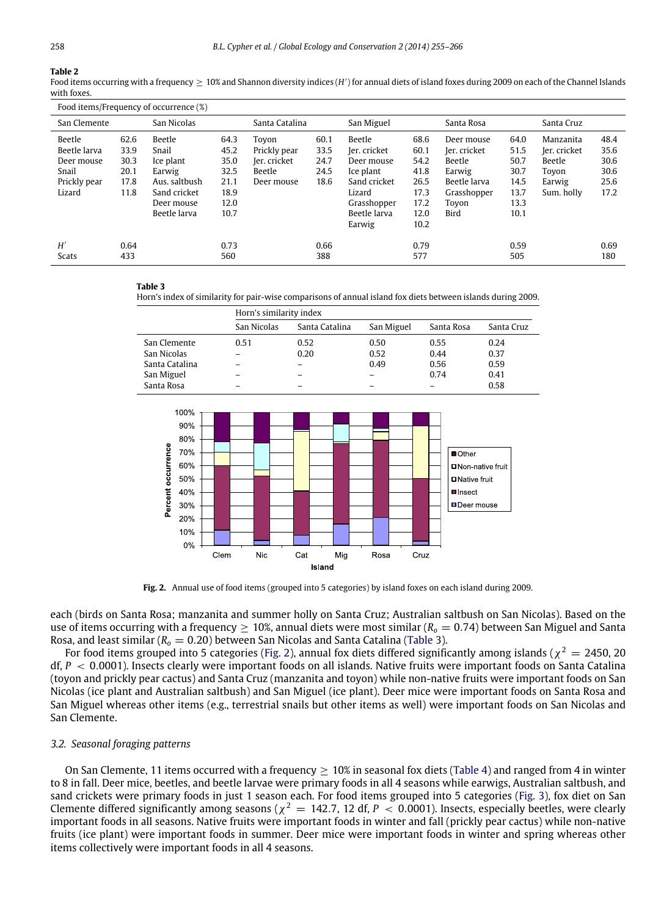## <span id="page-3-0"></span>**Table 2**

Food items occurring with a frequency ≥ 10% and Shannon diversity indices (*H'*) for annual diets of island foxes during 2009 on each of the Channel Islands with foxes.

| Food items/Frequency of occurrence (%)                                  |                                              |                                                                                                       |                                                              |                                                               |                                      |                                                                                                                      |                                                                      |                                                                                                |                                                              |                                                                      |                                              |
|-------------------------------------------------------------------------|----------------------------------------------|-------------------------------------------------------------------------------------------------------|--------------------------------------------------------------|---------------------------------------------------------------|--------------------------------------|----------------------------------------------------------------------------------------------------------------------|----------------------------------------------------------------------|------------------------------------------------------------------------------------------------|--------------------------------------------------------------|----------------------------------------------------------------------|----------------------------------------------|
| San Nicolas<br>San Clemente                                             |                                              | Santa Catalina                                                                                        |                                                              | San Miguel                                                    |                                      | Santa Rosa                                                                                                           |                                                                      | Santa Cruz                                                                                     |                                                              |                                                                      |                                              |
| Beetle<br>Beetle larva<br>Deer mouse<br>Snail<br>Prickly pear<br>Lizard | 62.6<br>33.9<br>30.3<br>20.1<br>17.8<br>11.8 | Beetle<br>Snail<br>Ice plant<br>Earwig<br>Aus. saltbush<br>Sand cricket<br>Deer mouse<br>Beetle larva | 64.3<br>45.2<br>35.0<br>32.5<br>21.1<br>18.9<br>12.0<br>10.7 | Tovon<br>Prickly pear<br>Jer. cricket<br>Beetle<br>Deer mouse | 60.1<br>33.5<br>24.7<br>24.5<br>18.6 | Beetle<br>Jer. cricket<br>Deer mouse<br>Ice plant<br>Sand cricket<br>Lizard<br>Grasshopper<br>Beetle larva<br>Earwig | 68.6<br>60.1<br>54.2<br>41.8<br>26.5<br>17.3<br>17.2<br>12.0<br>10.2 | Deer mouse<br>ler. cricket<br>Beetle<br>Earwig<br>Beetle larva<br>Grasshopper<br>Toyon<br>Bird | 64.0<br>51.5<br>50.7<br>30.7<br>14.5<br>13.7<br>13.3<br>10.1 | Manzanita<br>Jer. cricket<br>Beetle<br>Toyon<br>Earwig<br>Sum, holly | 48.4<br>35.6<br>30.6<br>30.6<br>25.6<br>17.2 |
| H'<br><b>Scats</b>                                                      | 0.64<br>433                                  |                                                                                                       | 0.73<br>560                                                  |                                                               | 0.66<br>388                          |                                                                                                                      | 0.79<br>577                                                          |                                                                                                | 0.59<br>505                                                  |                                                                      | 0.69<br>180                                  |

#### <span id="page-3-1"></span>**Table 3**

Horn's index of similarity for pair-wise comparisons of annual island fox diets between islands during 2009.

|                | Horn's similarity index  |                |                          |            |            |  |  |  |
|----------------|--------------------------|----------------|--------------------------|------------|------------|--|--|--|
|                | San Nicolas              | Santa Catalina | San Miguel               | Santa Rosa | Santa Cruz |  |  |  |
| San Clemente   | 0.51                     | 0.52           | 0.50                     | 0.55       | 0.24       |  |  |  |
| San Nicolas    |                          | 0.20           | 0.52                     | 0.44       | 0.37       |  |  |  |
| Santa Catalina | $\overline{\phantom{0}}$ | -              | 0.49                     | 0.56       | 0.59       |  |  |  |
| San Miguel     | -                        |                | $\overline{\phantom{0}}$ | 0.74       | 0.41       |  |  |  |
| Santa Rosa     |                          |                |                          |            | 0.58       |  |  |  |

<span id="page-3-2"></span>

**Fig. 2.** Annual use of food items (grouped into 5 categories) by island foxes on each island during 2009.

each (birds on Santa Rosa; manzanita and summer holly on Santa Cruz; Australian saltbush on San Nicolas). Based on the use of items occurring with a frequency  $\geq 10\%$ , annual diets were most similar ( $R<sub>o</sub> = 0.74$ ) between San Miguel and Santa Rosa, and least similar (*R<sup>o</sup>* = 0.20) between San Nicolas and Santa Catalina [\(Table 3\)](#page-3-1).

For food items grouped into 5 categories [\(Fig. 2\)](#page-3-2), annual fox diets differed significantly among islands ( $\chi^2=$  2450, 20 df, *P* < 0.0001). Insects clearly were important foods on all islands. Native fruits were important foods on Santa Catalina (toyon and prickly pear cactus) and Santa Cruz (manzanita and toyon) while non-native fruits were important foods on San Nicolas (ice plant and Australian saltbush) and San Miguel (ice plant). Deer mice were important foods on Santa Rosa and San Miguel whereas other items (e.g., terrestrial snails but other items as well) were important foods on San Nicolas and San Clemente.

### *3.2. Seasonal foraging patterns*

On San Clemente, 11 items occurred with a frequency  $\geq 10\%$  in seasonal fox diets [\(Table 4\)](#page-4-0) and ranged from 4 in winter to 8 in fall. Deer mice, beetles, and beetle larvae were primary foods in all 4 seasons while earwigs, Australian saltbush, and sand crickets were primary foods in just 1 season each. For food items grouped into 5 categories [\(Fig. 3\)](#page-5-0), fox diet on San Clemente differed significantly among seasons ( $\chi^2 = 142.7$ , 12 df,  $P < 0.0001$ ). Insects, especially beetles, were clearly important foods in all seasons. Native fruits were important foods in winter and fall (prickly pear cactus) while non-native fruits (ice plant) were important foods in summer. Deer mice were important foods in winter and spring whereas other items collectively were important foods in all 4 seasons.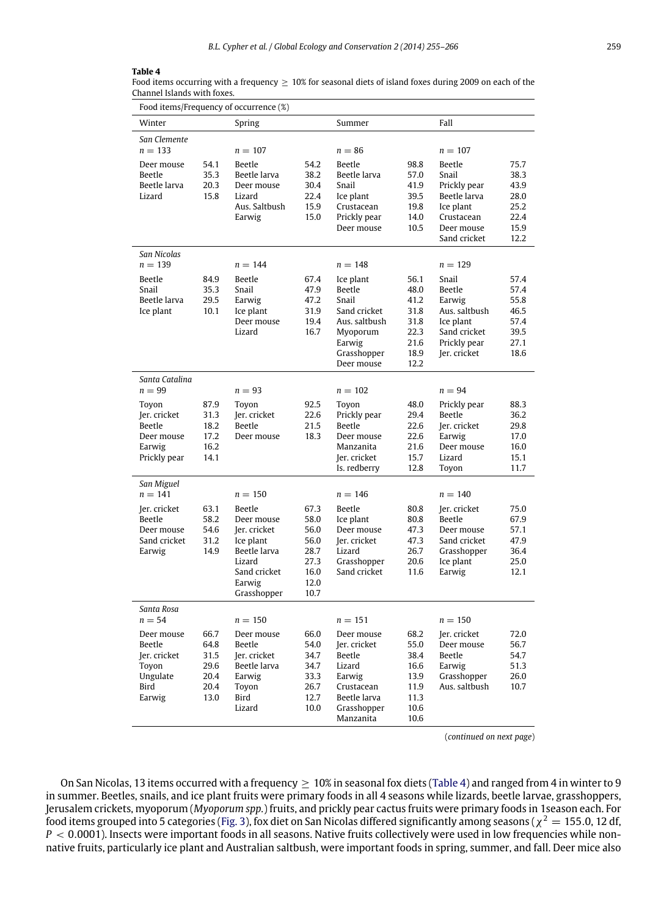#### <span id="page-4-0"></span>**Table 4**

Food items occurring with a frequency  $\geq 10\%$  for seasonal diets of island foxes during 2009 on each of the Channel Islands with foxes.

| Food items/Frequency of occurrence (%)                                                                |                                                      |                                                                                                                                          |                                                                      |                                                                                                                                 |                                                                      |                                                                                                                       |                                                              |  |  |
|-------------------------------------------------------------------------------------------------------|------------------------------------------------------|------------------------------------------------------------------------------------------------------------------------------------------|----------------------------------------------------------------------|---------------------------------------------------------------------------------------------------------------------------------|----------------------------------------------------------------------|-----------------------------------------------------------------------------------------------------------------------|--------------------------------------------------------------|--|--|
| Winter                                                                                                |                                                      | Spring                                                                                                                                   |                                                                      | Summer                                                                                                                          |                                                                      | Fall                                                                                                                  |                                                              |  |  |
| San Clemente<br>$n = 133$<br>Deer mouse<br><b>Beetle</b><br>Beetle larva<br>Lizard                    | 54.1<br>35.3<br>20.3<br>15.8                         | $n = 107$<br><b>Beetle</b><br>Beetle larva<br>Deer mouse<br>Lizard<br>Aus. Saltbush<br>Earwig                                            | 54.2<br>38.2<br>30.4<br>22.4<br>15.9<br>15.0                         | $n = 86$<br>Beetle<br>Beetle larva<br>Snail<br>Ice plant<br>Crustacean<br>Prickly pear<br>Deer mouse                            | 98.8<br>57.0<br>41.9<br>39.5<br>19.8<br>14.0<br>10.5                 | $n = 107$<br>Beetle<br>Snail<br>Prickly pear<br>Beetle larva<br>Ice plant<br>Crustacean<br>Deer mouse<br>Sand cricket | 75.7<br>38.3<br>43.9<br>28.0<br>25.2<br>22.4<br>15.9<br>12.2 |  |  |
| San Nicolas<br>$n = 139$<br>Beetle<br>Snail<br>Beetle larva<br>Ice plant                              | 84.9<br>35.3<br>29.5<br>10.1                         | $n = 144$<br>Beetle<br>Snail<br>Earwig<br>Ice plant<br>Deer mouse<br>Lizard                                                              | 67.4<br>47.9<br>47.2<br>31.9<br>19.4<br>16.7                         | $n = 148$<br>Ice plant<br>Beetle<br>Snail<br>Sand cricket<br>Aus. saltbush<br>Myoporum<br>Earwig<br>Grasshopper<br>Deer mouse   | 56.1<br>48.0<br>41.2<br>31.8<br>31.8<br>22.3<br>21.6<br>18.9<br>12.2 | $n = 129$<br>Snail<br>Beetle<br>Earwig<br>Aus. saltbush<br>Ice plant<br>Sand cricket<br>Prickly pear<br>Jer. cricket  | 57.4<br>57.4<br>55.8<br>46.5<br>57.4<br>39.5<br>27.1<br>18.6 |  |  |
| Santa Catalina<br>$n = 99$<br>Toyon<br>Jer. cricket<br>Beetle<br>Deer mouse<br>Earwig<br>Prickly pear | 87.9<br>31.3<br>18.2<br>17.2<br>16.2<br>14.1         | $n = 93$<br>Toyon<br>Jer. cricket<br>Beetle<br>Deer mouse                                                                                | 92.5<br>22.6<br>21.5<br>18.3                                         | $n = 102$<br>Toyon<br>Prickly pear<br>Beetle<br>Deer mouse<br>Manzanita<br>Jer. cricket<br>Is. redberry                         | 48.0<br>29.4<br>22.6<br>22.6<br>21.6<br>15.7<br>12.8                 | $n = 94$<br>Prickly pear<br>Beetle<br>Jer. cricket<br>Earwig<br>Deer mouse<br>Lizard<br>Toyon                         | 88.3<br>36.2<br>29.8<br>17.0<br>16.0<br>15.1<br>11.7         |  |  |
| San Miguel<br>$n = 141$<br>Jer. cricket<br>Beetle<br>Deer mouse<br>Sand cricket<br>Earwig             | 63.1<br>58.2<br>54.6<br>31.2<br>14.9                 | $n = 150$<br><b>Beetle</b><br>Deer mouse<br>Jer. cricket<br>Ice plant<br>Beetle larva<br>Lizard<br>Sand cricket<br>Earwig<br>Grasshopper | 67.3<br>58.0<br>56.0<br>56.0<br>28.7<br>27.3<br>16.0<br>12.0<br>10.7 | $n = 146$<br>Beetle<br>Ice plant<br>Deer mouse<br>Jer. cricket<br>Lizard<br>Grasshopper<br>Sand cricket                         | 80.8<br>80.8<br>47.3<br>47.3<br>26.7<br>20.6<br>11.6                 | $n = 140$<br>Jer. cricket<br>Beetle<br>Deer mouse<br>Sand cricket<br>Grasshopper<br>Ice plant<br>Earwig               | 75.0<br>67.9<br>57.1<br>47.9<br>36.4<br>25.0<br>12.1         |  |  |
| Santa Rosa<br>$n = 54$<br>Deer mouse<br>Beetle<br>Jer. cricket<br>Toyon<br>Ungulate<br>Bird<br>Earwig | 66.7<br>64.8<br>31.5<br>29.6<br>20.4<br>20.4<br>13.0 | $n = 150$<br>Deer mouse<br>Beetle<br>Jer. cricket<br>Beetle larva<br>Earwig<br>Toyon<br>Bird<br>Lizard                                   | 66.0<br>54.0<br>34.7<br>34.7<br>33.3<br>26.7<br>12.7<br>10.0         | $n = 151$<br>Deer mouse<br>Jer. cricket<br>Beetle<br>Lizard<br>Earwig<br>Crustacean<br>Beetle larva<br>Grasshopper<br>Manzanita | 68.2<br>55.0<br>38.4<br>16.6<br>13.9<br>11.9<br>11.3<br>10.6<br>10.6 | $n = 150$<br>Jer. cricket<br>Deer mouse<br>Beetle<br>Earwig<br>Grasshopper<br>Aus. saltbush                           | 72.0<br>56.7<br>54.7<br>51.3<br>26.0<br>10.7                 |  |  |

(*continued on next page*)

On San Nicolas, 13 items occurred with a frequency  $\geq 10\%$  in seasonal fox diets [\(Table 4\)](#page-4-0) and ranged from 4 in winter to 9 in summer. Beetles, snails, and ice plant fruits were primary foods in all 4 seasons while lizards, beetle larvae, grasshoppers, Jerusalem crickets, myoporum (*Myoporum spp.*) fruits, and prickly pear cactus fruits were primary foods in 1season each. For food items grouped into 5 categories [\(Fig. 3\)](#page-5-0), fox diet on San Nicolas differed significantly among seasons ( $\chi^2=$  155.0, 12 df, *P* < 0.0001). Insects were important foods in all seasons. Native fruits collectively were used in low frequencies while nonnative fruits, particularly ice plant and Australian saltbush, were important foods in spring, summer, and fall. Deer mice also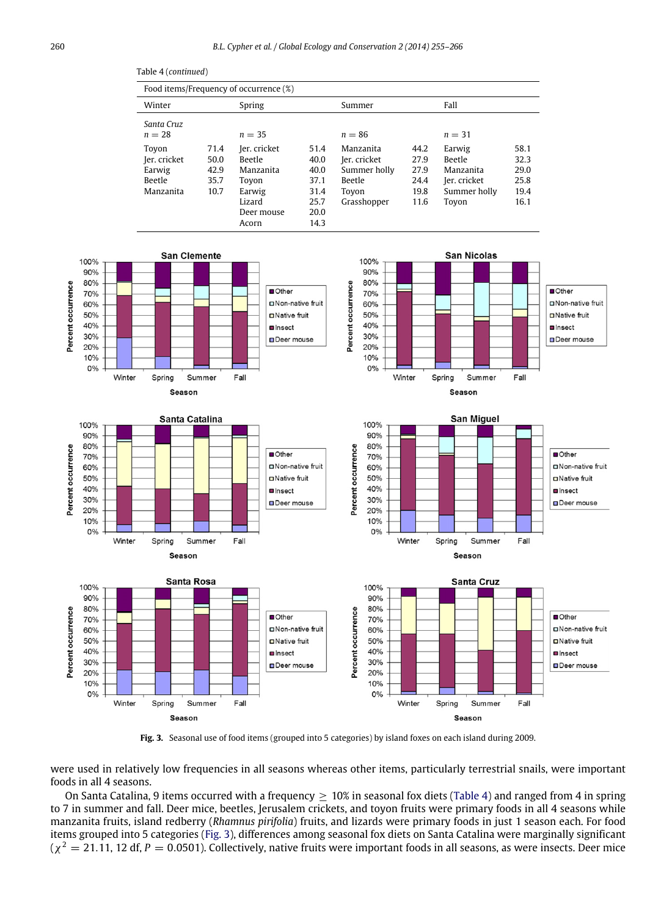Table 4 (*continued*)

*Santa Cruz*

Food items/Frequency of occurrence (%)

Winter Spring Summer Fall

<span id="page-5-0"></span>

**Fig. 3.** Seasonal use of food items (grouped into 5 categories) by island foxes on each island during 2009.

were used in relatively low frequencies in all seasons whereas other items, particularly terrestrial snails, were important foods in all 4 seasons.

On Santa Catalina, 9 items occurred with a frequency  $\geq 10\%$  in seasonal fox diets [\(Table 4\)](#page-4-0) and ranged from 4 in spring to 7 in summer and fall. Deer mice, beetles, Jerusalem crickets, and toyon fruits were primary foods in all 4 seasons while manzanita fruits, island redberry (*Rhamnus pirifolia*) fruits, and lizards were primary foods in just 1 season each. For food items grouped into 5 categories [\(Fig. 3\)](#page-5-0), differences among seasonal fox diets on Santa Catalina were marginally significant  $(\chi^2=21.11, 12$  df,  $P=0.0501$ ). Collectively, native fruits were important foods in all seasons, as were insects. Deer mice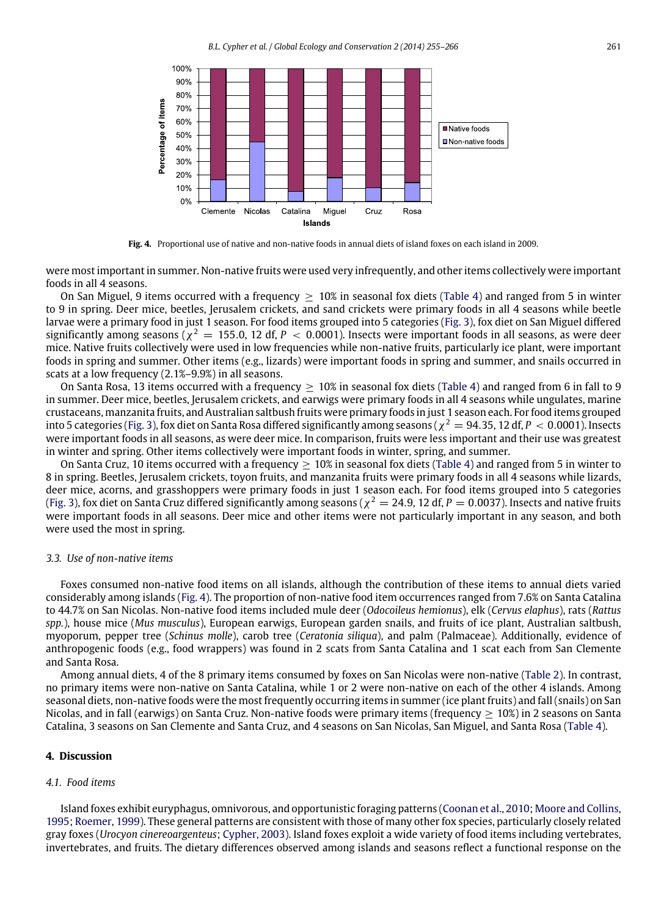<span id="page-6-0"></span>

**Fig. 4.** Proportional use of native and non-native foods in annual diets of island foxes on each island in 2009.

were most important in summer. Non-native fruits were used very infrequently, and other items collectively were important foods in all 4 seasons.

On San Miguel, 9 items occurred with a frequency  $\geq 10\%$  in seasonal fox diets [\(Table 4\)](#page-4-0) and ranged from 5 in winter to 9 in spring. Deer mice, beetles, Jerusalem crickets, and sand crickets were primary foods in all 4 seasons while beetle larvae were a primary food in just 1 season. For food items grouped into 5 categories [\(Fig. 3\)](#page-5-0), fox diet on San Miguel differed significantly among seasons ( $\chi^2=155.0$ , 12 df,  $P < 0.0001$ ). Insects were important foods in all seasons, as were deer mice. Native fruits collectively were used in low frequencies while non-native fruits, particularly ice plant, were important foods in spring and summer. Other items (e.g., lizards) were important foods in spring and summer, and snails occurred in scats at a low frequency (2.1%–9.9%) in all seasons.

On Santa Rosa, 13 items occurred with a frequency  $> 10\%$  in seasonal fox diets [\(Table 4\)](#page-4-0) and ranged from 6 in fall to 9 in summer. Deer mice, beetles, Jerusalem crickets, and earwigs were primary foods in all 4 seasons while ungulates, marine crustaceans, manzanita fruits, and Australian saltbush fruits were primary foods in just 1 season each. For food items grouped into 5 categories [\(Fig. 3\)](#page-5-0), fox diet on Santa Rosa differed significantly among seasons ( $\chi^2=94.35$ , 12 df,  $P < 0.0001$ ). Insects were important foods in all seasons, as were deer mice. In comparison, fruits were less important and their use was greatest in winter and spring. Other items collectively were important foods in winter, spring, and summer.

On Santa Cruz, 10 items occurred with a frequency  $> 10\%$  in seasonal fox diets [\(Table 4\)](#page-4-0) and ranged from 5 in winter to 8 in spring. Beetles, Jerusalem crickets, toyon fruits, and manzanita fruits were primary foods in all 4 seasons while lizards, deer mice, acorns, and grasshoppers were primary foods in just 1 season each. For food items grouped into 5 categories [\(Fig. 3\)](#page-5-0), fox diet on Santa Cruz differed significantly among seasons ( $\chi^2=$  24.9, 12 df, P  $=$  0.0037). Insects and native fruits were important foods in all seasons. Deer mice and other items were not particularly important in any season, and both were used the most in spring.

#### *3.3. Use of non-native items*

Foxes consumed non-native food items on all islands, although the contribution of these items to annual diets varied considerably among islands [\(Fig. 4\)](#page-6-0). The proportion of non-native food item occurrences ranged from 7.6% on Santa Catalina to 44.7% on San Nicolas. Non-native food items included mule deer (*Odocoileus hemionus*), elk (*Cervus elaphus*), rats (*Rattus spp.*), house mice (*Mus musculus*), European earwigs, European garden snails, and fruits of ice plant, Australian saltbush, myoporum, pepper tree (*Schinus molle*), carob tree (*Ceratonia siliqua*), and palm (Palmaceae). Additionally, evidence of anthropogenic foods (e.g., food wrappers) was found in 2 scats from Santa Catalina and 1 scat each from San Clemente and Santa Rosa.

Among annual diets, 4 of the 8 primary items consumed by foxes on San Nicolas were non-native [\(Table 2\)](#page-3-0). In contrast, no primary items were non-native on Santa Catalina, while 1 or 2 were non-native on each of the other 4 islands. Among seasonal diets, non-native foods were the most frequently occurring items in summer (ice plant fruits) and fall (snails) on San Nicolas, and in fall (earwigs) on Santa Cruz. Non-native foods were primary items (frequency ≥ 10%) in 2 seasons on Santa Catalina, 3 seasons on San Clemente and Santa Cruz, and 4 seasons on San Nicolas, San Miguel, and Santa Rosa [\(Table 4\)](#page-4-0).

#### **4. Discussion**

#### *4.1. Food items*

Island foxes exhibit euryphagus, omnivorous, and opportunistic foraging patterns [\(Coonan](#page-11-10) [et al.,](#page-11-10) [2010;](#page-11-10) [Moore](#page-11-3) [and](#page-11-3) [Collins,](#page-11-3) [1995;](#page-11-3) [Roemer,](#page-11-11) [1999\)](#page-11-11). These general patterns are consistent with those of many other fox species, particularly closely related gray foxes (*Urocyon cinereoargenteus*; [Cypher,](#page-11-2) [2003\)](#page-11-2). Island foxes exploit a wide variety of food items including vertebrates, invertebrates, and fruits. The dietary differences observed among islands and seasons reflect a functional response on the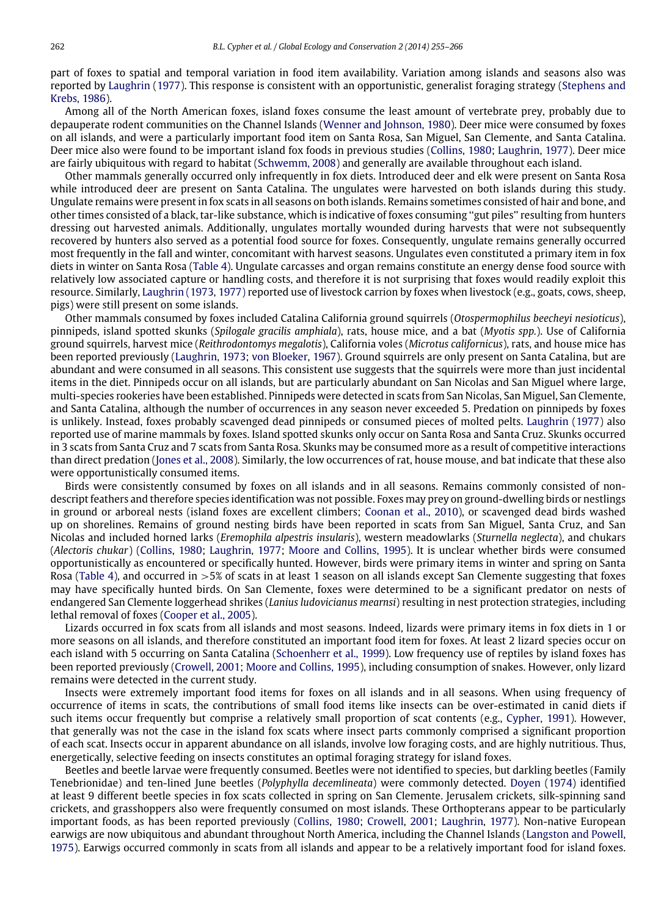part of foxes to spatial and temporal variation in food item availability. Variation among islands and seasons also was reported by [Laughrin](#page-11-12) [\(1977\)](#page-11-12). This response is consistent with an opportunistic, generalist foraging strategy [\(Stephens](#page-11-13) [and](#page-11-13) [Krebs,](#page-11-13) [1986\)](#page-11-13).

Among all of the North American foxes, island foxes consume the least amount of vertebrate prey, probably due to depauperate rodent communities on the Channel Islands [\(Wenner](#page-11-14) [and](#page-11-14) [Johnson,](#page-11-14) [1980\)](#page-11-14). Deer mice were consumed by foxes on all islands, and were a particularly important food item on Santa Rosa, San Miguel, San Clemente, and Santa Catalina. Deer mice also were found to be important island fox foods in previous studies [\(Collins,](#page-11-15) [1980;](#page-11-15) [Laughrin,](#page-11-12) [1977\)](#page-11-12). Deer mice are fairly ubiquitous with regard to habitat [\(Schwemm,](#page-11-16) [2008\)](#page-11-16) and generally are available throughout each island.

Other mammals generally occurred only infrequently in fox diets. Introduced deer and elk were present on Santa Rosa while introduced deer are present on Santa Catalina. The ungulates were harvested on both islands during this study. Ungulate remains were present in fox scats in all seasons on both islands. Remains sometimes consisted of hair and bone, and other times consisted of a black, tar-like substance, which is indicative of foxes consuming ''gut piles'' resulting from hunters dressing out harvested animals. Additionally, ungulates mortally wounded during harvests that were not subsequently recovered by hunters also served as a potential food source for foxes. Consequently, ungulate remains generally occurred most frequently in the fall and winter, concomitant with harvest seasons. Ungulates even constituted a primary item in fox diets in winter on Santa Rosa [\(Table 4\)](#page-4-0). Ungulate carcasses and organ remains constitute an energy dense food source with relatively low associated capture or handling costs, and therefore it is not surprising that foxes would readily exploit this resource. Similarly, [Laughrin](#page-11-17) [\(1973](#page-11-17)[,](#page-11-12) [1977\)](#page-11-12) reported use of livestock carrion by foxes when livestock (e.g., goats, cows, sheep, pigs) were still present on some islands.

Other mammals consumed by foxes included Catalina California ground squirrels (*Otospermophilus beecheyi nesioticus*), pinnipeds, island spotted skunks (*Spilogale gracilis amphiala*), rats, house mice, and a bat (*Myotis spp.*). Use of California ground squirrels, harvest mice (*Reithrodontomys megalotis*), California voles (*Microtus californicus*), rats, and house mice has been reported previously [\(Laughrin,](#page-11-17) [1973;](#page-11-17) [von](#page-11-18) [Bloeker,](#page-11-18) [1967\)](#page-11-18). Ground squirrels are only present on Santa Catalina, but are abundant and were consumed in all seasons. This consistent use suggests that the squirrels were more than just incidental items in the diet. Pinnipeds occur on all islands, but are particularly abundant on San Nicolas and San Miguel where large, multi-species rookeries have been established. Pinnipeds were detected in scats from San Nicolas, San Miguel, San Clemente, and Santa Catalina, although the number of occurrences in any season never exceeded 5. Predation on pinnipeds by foxes is unlikely. Instead, foxes probably scavenged dead pinnipeds or consumed pieces of molted pelts. [Laughrin](#page-11-12) [\(1977\)](#page-11-12) also reported use of marine mammals by foxes. Island spotted skunks only occur on Santa Rosa and Santa Cruz. Skunks occurred in 3 scats from Santa Cruz and 7 scats from Santa Rosa. Skunks may be consumed more as a result of competitive interactions than direct predation [\(Jones](#page-11-19) [et al.,](#page-11-19) [2008\)](#page-11-19). Similarly, the low occurrences of rat, house mouse, and bat indicate that these also were opportunistically consumed items.

Birds were consistently consumed by foxes on all islands and in all seasons. Remains commonly consisted of nondescript feathers and therefore species identification was not possible. Foxes may prey on ground-dwelling birds or nestlings in ground or arboreal nests (island foxes are excellent climbers; [Coonan](#page-11-10) [et al.,](#page-11-10) [2010\)](#page-11-10), or scavenged dead birds washed up on shorelines. Remains of ground nesting birds have been reported in scats from San Miguel, Santa Cruz, and San Nicolas and included horned larks (*Eremophila alpestris insularis*), western meadowlarks (*Sturnella neglecta*), and chukars (*Alectoris chukar*) [\(Collins,](#page-11-15) [1980;](#page-11-15) [Laughrin,](#page-11-12) [1977;](#page-11-12) [Moore](#page-11-3) [and](#page-11-3) [Collins,](#page-11-3) [1995\)](#page-11-3). It is unclear whether birds were consumed opportunistically as encountered or specifically hunted. However, birds were primary items in winter and spring on Santa Rosa [\(Table 4\)](#page-4-0), and occurred in >5% of scats in at least 1 season on all islands except San Clemente suggesting that foxes may have specifically hunted birds. On San Clemente, foxes were determined to be a significant predator on nests of endangered San Clemente loggerhead shrikes (*Lanius ludovicianus mearnsi*) resulting in nest protection strategies, including lethal removal of foxes [\(Cooper](#page-11-20) [et al.,](#page-11-20) [2005\)](#page-11-20).

Lizards occurred in fox scats from all islands and most seasons. Indeed, lizards were primary items in fox diets in 1 or more seasons on all islands, and therefore constituted an important food item for foxes. At least 2 lizard species occur on each island with 5 occurring on Santa Catalina [\(Schoenherr](#page-11-4) [et al.,](#page-11-4) [1999\)](#page-11-4). Low frequency use of reptiles by island foxes has been reported previously [\(Crowell,](#page-11-21) [2001;](#page-11-21) [Moore](#page-11-3) [and](#page-11-3) [Collins,](#page-11-3) [1995\)](#page-11-3), including consumption of snakes. However, only lizard remains were detected in the current study.

Insects were extremely important food items for foxes on all islands and in all seasons. When using frequency of occurrence of items in scats, the contributions of small food items like insects can be over-estimated in canid diets if such items occur frequently but comprise a relatively small proportion of scat contents (e.g., [Cypher,](#page-11-22) [1991\)](#page-11-22). However, that generally was not the case in the island fox scats where insect parts commonly comprised a significant proportion of each scat. Insects occur in apparent abundance on all islands, involve low foraging costs, and are highly nutritious. Thus, energetically, selective feeding on insects constitutes an optimal foraging strategy for island foxes.

Beetles and beetle larvae were frequently consumed. Beetles were not identified to species, but darkling beetles (Family Tenebrionidae) and ten-lined June beetles (*Polyphylla decemlineata*) were commonly detected. [Doyen](#page-11-23) [\(1974\)](#page-11-23) identified at least 9 different beetle species in fox scats collected in spring on San Clemente. Jerusalem crickets, silk-spinning sand crickets, and grasshoppers also were frequently consumed on most islands. These Orthopterans appear to be particularly important foods, as has been reported previously [\(Collins,](#page-11-15) [1980;](#page-11-15) [Crowell,](#page-11-21) [2001;](#page-11-21) [Laughrin,](#page-11-12) [1977\)](#page-11-12). Non-native European earwigs are now ubiquitous and abundant throughout North America, including the Channel Islands [\(Langston](#page-11-24) [and](#page-11-24) [Powell,](#page-11-24) [1975\)](#page-11-24). Earwigs occurred commonly in scats from all islands and appear to be a relatively important food for island foxes.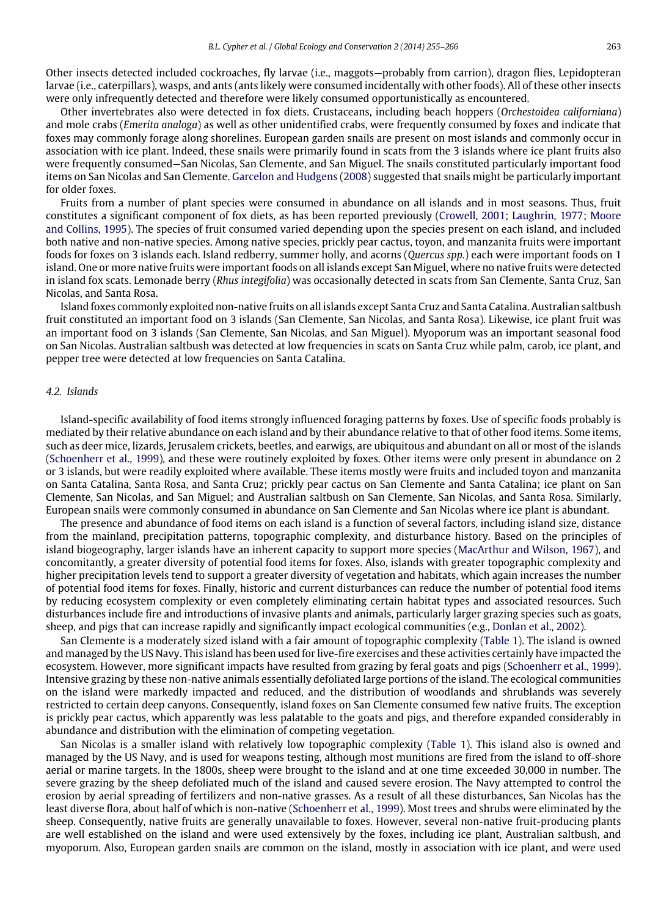Other insects detected included cockroaches, fly larvae (i.e., maggots—probably from carrion), dragon flies, Lepidopteran larvae (i.e., caterpillars), wasps, and ants (ants likely were consumed incidentally with other foods). All of these other insects were only infrequently detected and therefore were likely consumed opportunistically as encountered.

Other invertebrates also were detected in fox diets. Crustaceans, including beach hoppers (*Orchestoidea californiana*) and mole crabs (*Emerita analoga*) as well as other unidentified crabs, were frequently consumed by foxes and indicate that foxes may commonly forage along shorelines. European garden snails are present on most islands and commonly occur in association with ice plant. Indeed, these snails were primarily found in scats from the 3 islands where ice plant fruits also were frequently consumed—San Nicolas, San Clemente, and San Miguel. The snails constituted particularly important food items on San Nicolas and San Clemente. [Garcelon](#page-11-25) [and](#page-11-25) [Hudgens](#page-11-25) [\(2008\)](#page-11-25) suggested that snails might be particularly important for older foxes.

Fruits from a number of plant species were consumed in abundance on all islands and in most seasons. Thus, fruit constitutes a significant component of fox diets, as has been reported previously [\(Crowell,](#page-11-21) [2001;](#page-11-21) [Laughrin,](#page-11-12) [1977;](#page-11-12) [Moore](#page-11-3) [and](#page-11-3) [Collins,](#page-11-3) [1995\)](#page-11-3). The species of fruit consumed varied depending upon the species present on each island, and included both native and non-native species. Among native species, prickly pear cactus, toyon, and manzanita fruits were important foods for foxes on 3 islands each. Island redberry, summer holly, and acorns (*Quercus spp.*) each were important foods on 1 island. One or more native fruits were important foods on all islands except San Miguel, where no native fruits were detected in island fox scats. Lemonade berry (*Rhus integifolia*) was occasionally detected in scats from San Clemente, Santa Cruz, San Nicolas, and Santa Rosa.

Island foxes commonly exploited non-native fruits on all islands except Santa Cruz and Santa Catalina. Australian saltbush fruit constituted an important food on 3 islands (San Clemente, San Nicolas, and Santa Rosa). Likewise, ice plant fruit was an important food on 3 islands (San Clemente, San Nicolas, and San Miguel). Myoporum was an important seasonal food on San Nicolas. Australian saltbush was detected at low frequencies in scats on Santa Cruz while palm, carob, ice plant, and pepper tree were detected at low frequencies on Santa Catalina.

#### *4.2. Islands*

Island-specific availability of food items strongly influenced foraging patterns by foxes. Use of specific foods probably is mediated by their relative abundance on each island and by their abundance relative to that of other food items. Some items, such as deer mice, lizards, Jerusalem crickets, beetles, and earwigs, are ubiquitous and abundant on all or most of the islands [\(Schoenherr](#page-11-4) [et al.,](#page-11-4) [1999\)](#page-11-4), and these were routinely exploited by foxes. Other items were only present in abundance on 2 or 3 islands, but were readily exploited where available. These items mostly were fruits and included toyon and manzanita on Santa Catalina, Santa Rosa, and Santa Cruz; prickly pear cactus on San Clemente and Santa Catalina; ice plant on San Clemente, San Nicolas, and San Miguel; and Australian saltbush on San Clemente, San Nicolas, and Santa Rosa. Similarly, European snails were commonly consumed in abundance on San Clemente and San Nicolas where ice plant is abundant.

The presence and abundance of food items on each island is a function of several factors, including island size, distance from the mainland, precipitation patterns, topographic complexity, and disturbance history. Based on the principles of island biogeography, larger islands have an inherent capacity to support more species [\(MacArthur](#page-11-26) [and](#page-11-26) [Wilson,](#page-11-26) [1967\)](#page-11-26), and concomitantly, a greater diversity of potential food items for foxes. Also, islands with greater topographic complexity and higher precipitation levels tend to support a greater diversity of vegetation and habitats, which again increases the number of potential food items for foxes. Finally, historic and current disturbances can reduce the number of potential food items by reducing ecosystem complexity or even completely eliminating certain habitat types and associated resources. Such disturbances include fire and introductions of invasive plants and animals, particularly larger grazing species such as goats, sheep, and pigs that can increase rapidly and significantly impact ecological communities (e.g., [Donlan](#page-11-27) [et al.,](#page-11-27) [2002\)](#page-11-27).

San Clemente is a moderately sized island with a fair amount of topographic complexity [\(Table 1\)](#page-2-0). The island is owned and managed by the US Navy. This island has been used for live-fire exercises and these activities certainly have impacted the ecosystem. However, more significant impacts have resulted from grazing by feral goats and pigs [\(Schoenherr](#page-11-4) [et al.,](#page-11-4) [1999\)](#page-11-4). Intensive grazing by these non-native animals essentially defoliated large portions of the island. The ecological communities on the island were markedly impacted and reduced, and the distribution of woodlands and shrublands was severely restricted to certain deep canyons. Consequently, island foxes on San Clemente consumed few native fruits. The exception is prickly pear cactus, which apparently was less palatable to the goats and pigs, and therefore expanded considerably in abundance and distribution with the elimination of competing vegetation.

San Nicolas is a smaller island with relatively low topographic complexity [\(Table 1\)](#page-2-0). This island also is owned and managed by the US Navy, and is used for weapons testing, although most munitions are fired from the island to off-shore aerial or marine targets. In the 1800s, sheep were brought to the island and at one time exceeded 30,000 in number. The severe grazing by the sheep defoliated much of the island and caused severe erosion. The Navy attempted to control the erosion by aerial spreading of fertilizers and non-native grasses. As a result of all these disturbances, San Nicolas has the least diverse flora, about half of which is non-native [\(Schoenherr](#page-11-4) [et al.,](#page-11-4) [1999\)](#page-11-4). Most trees and shrubs were eliminated by the sheep. Consequently, native fruits are generally unavailable to foxes. However, several non-native fruit-producing plants are well established on the island and were used extensively by the foxes, including ice plant, Australian saltbush, and myoporum. Also, European garden snails are common on the island, mostly in association with ice plant, and were used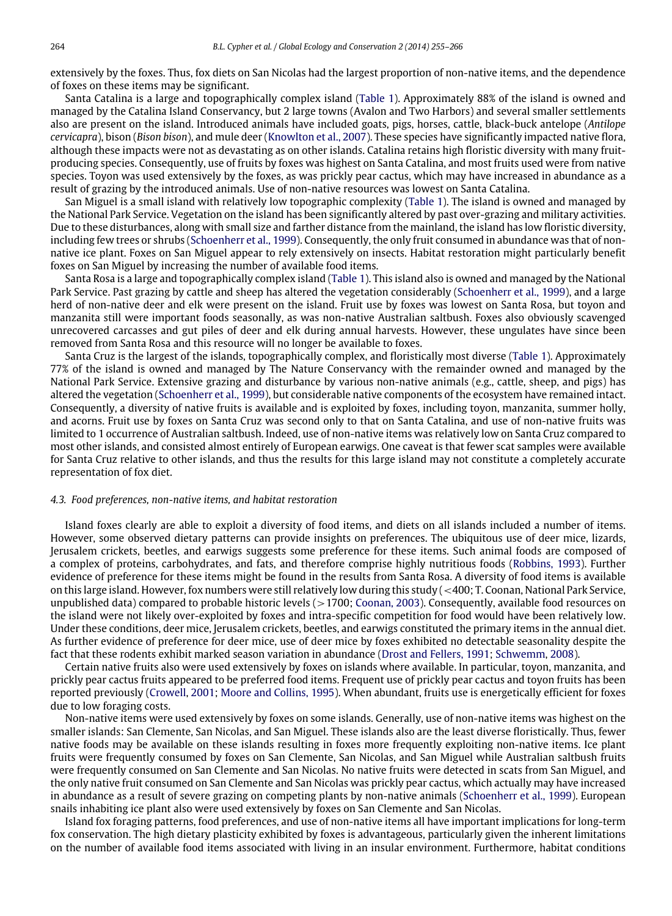extensively by the foxes. Thus, fox diets on San Nicolas had the largest proportion of non-native items, and the dependence of foxes on these items may be significant.

Santa Catalina is a large and topographically complex island [\(Table 1\)](#page-2-0). Approximately 88% of the island is owned and managed by the Catalina Island Conservancy, but 2 large towns (Avalon and Two Harbors) and several smaller settlements also are present on the island. Introduced animals have included goats, pigs, horses, cattle, black-buck antelope (*Antilope cervicapra*), bison (*Bison bison*), and mule deer [\(Knowlton](#page-11-28) [et al.,](#page-11-28) [2007\)](#page-11-28). These species have significantly impacted native flora, although these impacts were not as devastating as on other islands. Catalina retains high floristic diversity with many fruitproducing species. Consequently, use of fruits by foxes was highest on Santa Catalina, and most fruits used were from native species. Toyon was used extensively by the foxes, as was prickly pear cactus, which may have increased in abundance as a result of grazing by the introduced animals. Use of non-native resources was lowest on Santa Catalina.

San Miguel is a small island with relatively low topographic complexity [\(Table 1\)](#page-2-0). The island is owned and managed by the National Park Service. Vegetation on the island has been significantly altered by past over-grazing and military activities. Due to these disturbances, along with small size and farther distance from the mainland, the island has low floristic diversity, including few trees or shrubs [\(Schoenherr](#page-11-4) [et al.,](#page-11-4) [1999\)](#page-11-4). Consequently, the only fruit consumed in abundance was that of nonnative ice plant. Foxes on San Miguel appear to rely extensively on insects. Habitat restoration might particularly benefit foxes on San Miguel by increasing the number of available food items.

Santa Rosa is a large and topographically complex island [\(Table 1\)](#page-2-0). This island also is owned and managed by the National Park Service. Past grazing by cattle and sheep has altered the vegetation considerably [\(Schoenherr](#page-11-4) [et al.,](#page-11-4) [1999\)](#page-11-4), and a large herd of non-native deer and elk were present on the island. Fruit use by foxes was lowest on Santa Rosa, but toyon and manzanita still were important foods seasonally, as was non-native Australian saltbush. Foxes also obviously scavenged unrecovered carcasses and gut piles of deer and elk during annual harvests. However, these ungulates have since been removed from Santa Rosa and this resource will no longer be available to foxes.

Santa Cruz is the largest of the islands, topographically complex, and floristically most diverse [\(Table 1\)](#page-2-0). Approximately 77% of the island is owned and managed by The Nature Conservancy with the remainder owned and managed by the National Park Service. Extensive grazing and disturbance by various non-native animals (e.g., cattle, sheep, and pigs) has altered the vegetation [\(Schoenherr](#page-11-4) [et al.,](#page-11-4) [1999\)](#page-11-4), but considerable native components of the ecosystem have remained intact. Consequently, a diversity of native fruits is available and is exploited by foxes, including toyon, manzanita, summer holly, and acorns. Fruit use by foxes on Santa Cruz was second only to that on Santa Catalina, and use of non-native fruits was limited to 1 occurrence of Australian saltbush. Indeed, use of non-native items was relatively low on Santa Cruz compared to most other islands, and consisted almost entirely of European earwigs. One caveat is that fewer scat samples were available for Santa Cruz relative to other islands, and thus the results for this large island may not constitute a completely accurate representation of fox diet.

#### *4.3. Food preferences, non-native items, and habitat restoration*

Island foxes clearly are able to exploit a diversity of food items, and diets on all islands included a number of items. However, some observed dietary patterns can provide insights on preferences. The ubiquitous use of deer mice, lizards, Jerusalem crickets, beetles, and earwigs suggests some preference for these items. Such animal foods are composed of a complex of proteins, carbohydrates, and fats, and therefore comprise highly nutritious foods [\(Robbins,](#page-11-29) [1993\)](#page-11-29). Further evidence of preference for these items might be found in the results from Santa Rosa. A diversity of food items is available on this large island. However, fox numbers were still relatively low during this study (<400; T. Coonan, National Park Service, unpublished data) compared to probable historic levels  $(>1700;$  [Coonan,](#page-11-30) [2003\)](#page-11-30). Consequently, available food resources on the island were not likely over-exploited by foxes and intra-specific competition for food would have been relatively low. Under these conditions, deer mice, Jerusalem crickets, beetles, and earwigs constituted the primary items in the annual diet. As further evidence of preference for deer mice, use of deer mice by foxes exhibited no detectable seasonality despite the fact that these rodents exhibit marked season variation in abundance [\(Drost](#page-11-31) [and](#page-11-31) [Fellers,](#page-11-31) [1991;](#page-11-31) [Schwemm,](#page-11-16) [2008\)](#page-11-16).

Certain native fruits also were used extensively by foxes on islands where available. In particular, toyon, manzanita, and prickly pear cactus fruits appeared to be preferred food items. Frequent use of prickly pear cactus and toyon fruits has been reported previously [\(Crowell,](#page-11-21) [2001;](#page-11-21) [Moore](#page-11-3) [and](#page-11-3) [Collins,](#page-11-3) [1995\)](#page-11-3). When abundant, fruits use is energetically efficient for foxes due to low foraging costs.

Non-native items were used extensively by foxes on some islands. Generally, use of non-native items was highest on the smaller islands: San Clemente, San Nicolas, and San Miguel. These islands also are the least diverse floristically. Thus, fewer native foods may be available on these islands resulting in foxes more frequently exploiting non-native items. Ice plant fruits were frequently consumed by foxes on San Clemente, San Nicolas, and San Miguel while Australian saltbush fruits were frequently consumed on San Clemente and San Nicolas. No native fruits were detected in scats from San Miguel, and the only native fruit consumed on San Clemente and San Nicolas was prickly pear cactus, which actually may have increased in abundance as a result of severe grazing on competing plants by non-native animals [\(Schoenherr](#page-11-4) [et al.,](#page-11-4) [1999\)](#page-11-4). European snails inhabiting ice plant also were used extensively by foxes on San Clemente and San Nicolas.

Island fox foraging patterns, food preferences, and use of non-native items all have important implications for long-term fox conservation. The high dietary plasticity exhibited by foxes is advantageous, particularly given the inherent limitations on the number of available food items associated with living in an insular environment. Furthermore, habitat conditions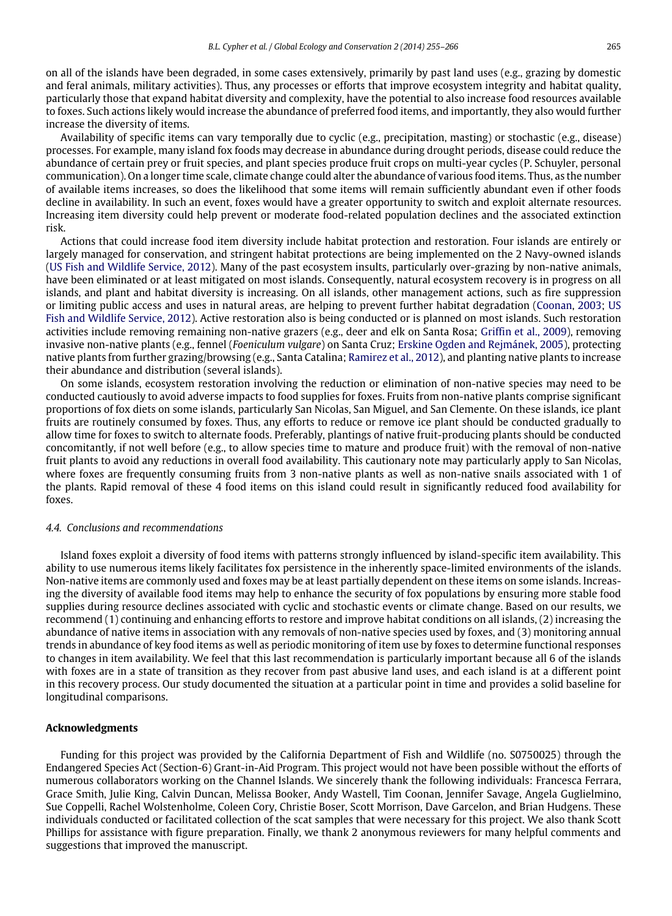on all of the islands have been degraded, in some cases extensively, primarily by past land uses (e.g., grazing by domestic and feral animals, military activities). Thus, any processes or efforts that improve ecosystem integrity and habitat quality, particularly those that expand habitat diversity and complexity, have the potential to also increase food resources available to foxes. Such actions likely would increase the abundance of preferred food items, and importantly, they also would further increase the diversity of items.

Availability of specific items can vary temporally due to cyclic (e.g., precipitation, masting) or stochastic (e.g., disease) processes. For example, many island fox foods may decrease in abundance during drought periods, disease could reduce the abundance of certain prey or fruit species, and plant species produce fruit crops on multi-year cycles (P. Schuyler, personal communication). On a longer time scale, climate change could alter the abundance of various food items. Thus, as the number of available items increases, so does the likelihood that some items will remain sufficiently abundant even if other foods decline in availability. In such an event, foxes would have a greater opportunity to switch and exploit alternate resources. Increasing item diversity could help prevent or moderate food-related population declines and the associated extinction risk.

Actions that could increase food item diversity include habitat protection and restoration. Four islands are entirely or largely managed for conservation, and stringent habitat protections are being implemented on the 2 Navy-owned islands [\(US](#page-11-0) [Fish](#page-11-0) [and](#page-11-0) [Wildlife](#page-11-0) [Service,](#page-11-0) [2012\)](#page-11-0). Many of the past ecosystem insults, particularly over-grazing by non-native animals, have been eliminated or at least mitigated on most islands. Consequently, natural ecosystem recovery is in progress on all islands, and plant and habitat diversity is increasing. On all islands, other management actions, such as fire suppression or limiting public access and uses in natural areas, are helping to prevent further habitat degradation [\(Coonan,](#page-11-30) [2003;](#page-11-30) [US](#page-11-0) [Fish](#page-11-0) [and](#page-11-0) [Wildlife](#page-11-0) [Service,](#page-11-0) [2012\)](#page-11-0). Active restoration also is being conducted or is planned on most islands. Such restoration activities include removing remaining non-native grazers (e.g., deer and elk on Santa Rosa; [Griffin](#page-11-32) [et al.,](#page-11-32) [2009\)](#page-11-32), removing invasive non-native plants (e.g., fennel (*Foeniculum vulgare*) on Santa Cruz; [Erskine](#page-11-33) [Ogden](#page-11-33) [and](#page-11-33) [Rejmánek,](#page-11-33) [2005\)](#page-11-33), protecting native plants from further grazing/browsing (e.g., Santa Catalina; [Ramirez](#page-11-34) [et al.,](#page-11-34) [2012\)](#page-11-34), and planting native plants to increase their abundance and distribution (several islands).

On some islands, ecosystem restoration involving the reduction or elimination of non-native species may need to be conducted cautiously to avoid adverse impacts to food supplies for foxes. Fruits from non-native plants comprise significant proportions of fox diets on some islands, particularly San Nicolas, San Miguel, and San Clemente. On these islands, ice plant fruits are routinely consumed by foxes. Thus, any efforts to reduce or remove ice plant should be conducted gradually to allow time for foxes to switch to alternate foods. Preferably, plantings of native fruit-producing plants should be conducted concomitantly, if not well before (e.g., to allow species time to mature and produce fruit) with the removal of non-native fruit plants to avoid any reductions in overall food availability. This cautionary note may particularly apply to San Nicolas, where foxes are frequently consuming fruits from 3 non-native plants as well as non-native snails associated with 1 of the plants. Rapid removal of these 4 food items on this island could result in significantly reduced food availability for foxes.

#### *4.4. Conclusions and recommendations*

Island foxes exploit a diversity of food items with patterns strongly influenced by island-specific item availability. This ability to use numerous items likely facilitates fox persistence in the inherently space-limited environments of the islands. Non-native items are commonly used and foxes may be at least partially dependent on these items on some islands. Increasing the diversity of available food items may help to enhance the security of fox populations by ensuring more stable food supplies during resource declines associated with cyclic and stochastic events or climate change. Based on our results, we recommend (1) continuing and enhancing efforts to restore and improve habitat conditions on all islands, (2) increasing the abundance of native items in association with any removals of non-native species used by foxes, and (3) monitoring annual trends in abundance of key food items as well as periodic monitoring of item use by foxes to determine functional responses to changes in item availability. We feel that this last recommendation is particularly important because all 6 of the islands with foxes are in a state of transition as they recover from past abusive land uses, and each island is at a different point in this recovery process. Our study documented the situation at a particular point in time and provides a solid baseline for longitudinal comparisons.

#### **Acknowledgments**

Funding for this project was provided by the California Department of Fish and Wildlife (no. S0750025) through the Endangered Species Act (Section-6) Grant-in-Aid Program. This project would not have been possible without the efforts of numerous collaborators working on the Channel Islands. We sincerely thank the following individuals: Francesca Ferrara, Grace Smith, Julie King, Calvin Duncan, Melissa Booker, Andy Wastell, Tim Coonan, Jennifer Savage, Angela Guglielmino, Sue Coppelli, Rachel Wolstenholme, Coleen Cory, Christie Boser, Scott Morrison, Dave Garcelon, and Brian Hudgens. These individuals conducted or facilitated collection of the scat samples that were necessary for this project. We also thank Scott Phillips for assistance with figure preparation. Finally, we thank 2 anonymous reviewers for many helpful comments and suggestions that improved the manuscript.